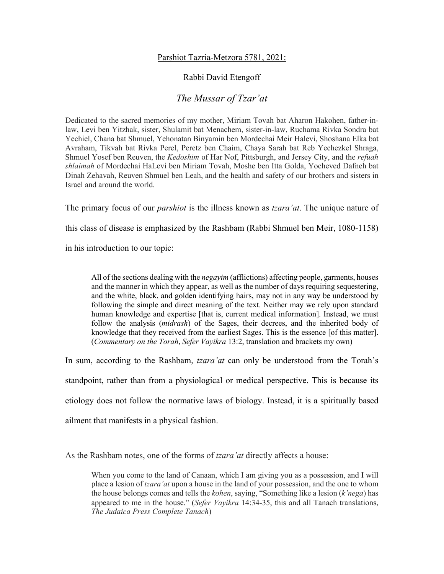## Parshiot Tazria-Metzora 5781, 2021:

## Rabbi David Etengoff

## *The Mussar of Tzar'at*

Dedicated to the sacred memories of my mother, Miriam Tovah bat Aharon Hakohen, father-inlaw, Levi ben Yitzhak, sister, Shulamit bat Menachem, sister-in-law, Ruchama Rivka Sondra bat Yechiel, Chana bat Shmuel, Yehonatan Binyamin ben Mordechai Meir Halevi, Shoshana Elka bat Avraham, Tikvah bat Rivka Perel, Peretz ben Chaim, Chaya Sarah bat Reb Yechezkel Shraga, Shmuel Yosef ben Reuven, the *Kedoshim* of Har Nof, Pittsburgh, and Jersey City, and the *refuah shlaimah* of Mordechai HaLevi ben Miriam Tovah, Moshe ben Itta Golda, Yocheved Dafneh bat Dinah Zehavah, Reuven Shmuel ben Leah, and the health and safety of our brothers and sisters in Israel and around the world.

The primary focus of our *parshiot* is the illness known as *tzara'at*. The unique nature of

this class of disease is emphasized by the Rashbam (Rabbi Shmuel ben Meir, 1080-1158)

in his introduction to our topic:

All of the sections dealing with the *negayim* (afflictions) affecting people, garments, houses and the manner in which they appear, as well as the number of days requiring sequestering, and the white, black, and golden identifying hairs, may not in any way be understood by following the simple and direct meaning of the text. Neither may we rely upon standard human knowledge and expertise [that is, current medical information]. Instead, we must follow the analysis (*midrash*) of the Sages, their decrees, and the inherited body of knowledge that they received from the earliest Sages. This is the essence [of this matter]. (*Commentary on the Torah*, *Sefer Vayikra* 13:2, translation and brackets my own)

In sum, according to the Rashbam, *tzara'at* can only be understood from the Torah's

standpoint, rather than from a physiological or medical perspective. This is because its

etiology does not follow the normative laws of biology. Instead, it is a spiritually based

ailment that manifests in a physical fashion.

As the Rashbam notes, one of the forms of *tzara'at* directly affects a house:

When you come to the land of Canaan, which I am giving you as a possession, and I will place a lesion of *tzara'at* upon a house in the land of your possession, and the one to whom the house belongs comes and tells the *kohen*, saying, "Something like a lesion (*k'nega*) has appeared to me in the house." (*Sefer Vayikra* 14:34-35, this and all Tanach translations, *The Judaica Press Complete Tanach*)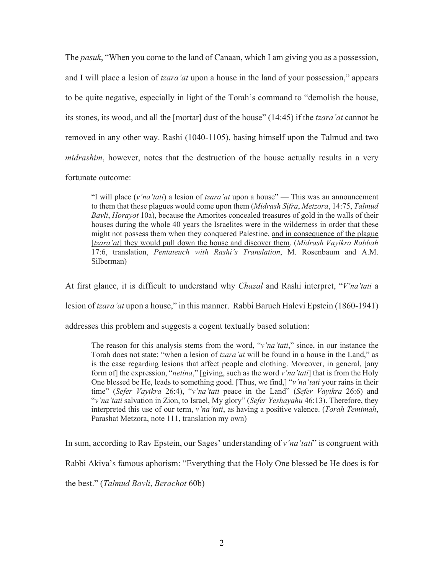The *pasuk*, "When you come to the land of Canaan, which I am giving you as a possession, and I will place a lesion of *tzara'at* upon a house in the land of your possession," appears to be quite negative, especially in light of the Torah's command to "demolish the house, its stones, its wood, and all the [mortar] dust of the house" (14:45) if the *tzara'at* cannot be removed in any other way. Rashi (1040-1105), basing himself upon the Talmud and two *midrashim*, however, notes that the destruction of the house actually results in a very fortunate outcome:

"I will place (*v'na'tati*) a lesion of *tzara'at* upon a house" — This was an announcement to them that these plagues would come upon them (*Midrash Sifra*, *Metzora*, 14:75, *Talmud Bavli*, *Horayot* 10a), because the Amorites concealed treasures of gold in the walls of their houses during the whole 40 years the Israelites were in the wilderness in order that these might not possess them when they conquered Palestine, and in consequence of the plague [*tzara'at*] they would pull down the house and discover them. (*Midrash Vayikra Rabbah* 17:6, translation, *Pentateuch with Rashi's Translation*, M. Rosenbaum and A.M. Silberman)

At first glance, it is difficult to understand why *Chazal* and Rashi interpret, "*V'na'tati* a lesion of *tzara'at* upon a house," in this manner. Rabbi Baruch Halevi Epstein (1860-1941)

addresses this problem and suggests a cogent textually based solution:

The reason for this analysis stems from the word, "*v'na'tati*," since, in our instance the Torah does not state: "when a lesion of *tzara'at* will be found in a house in the Land," as is the case regarding lesions that affect people and clothing. Moreover, in general, [any form of] the expression, "*netina*," [giving, such as the word *v'na'tati*] that is from the Holy One blessed be He, leads to something good. [Thus, we find,] "*v'na'tati* your rains in their time" (*Sefer Vayikra* 26:4), "*v'na'tati* peace in the Land" (*Sefer Vayikra* 26:6) and "*v'na'tati* salvation in Zion, to Israel, My glory" (*Sefer Yeshayahu* 46:13). Therefore, they interpreted this use of our term, *v'na'tati*, as having a positive valence. (*Torah Temimah*, Parashat Metzora, note 111, translation my own)

In sum, according to Rav Epstein, our Sages' understanding of *v'na'tati*" is congruent with

Rabbi Akiva's famous aphorism: "Everything that the Holy One blessed be He does is for

the best." (*Talmud Bavli*, *Berachot* 60b)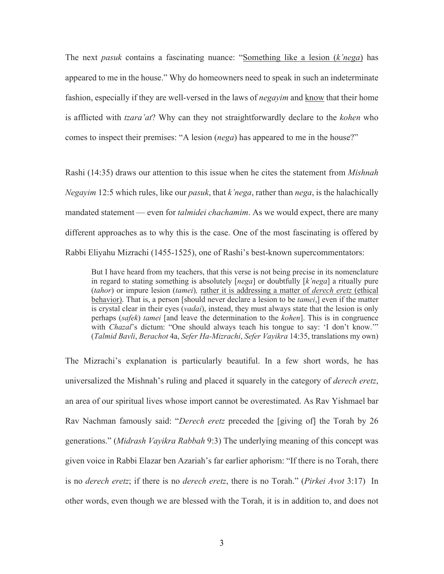The next *pasuk* contains a fascinating nuance: "Something like a lesion (*k'nega*) has appeared to me in the house." Why do homeowners need to speak in such an indeterminate fashion, especially if they are well-versed in the laws of *negayim* and know that their home is afflicted with *tzara'at*? Why can they not straightforwardly declare to the *kohen* who comes to inspect their premises: "A lesion (*nega*) has appeared to me in the house?"

Rashi (14:35) draws our attention to this issue when he cites the statement from *Mishnah Negayim* 12:5 which rules, like our *pasuk*, that *k'nega*, rather than *nega*, is the halachically mandated statement — even for *talmidei chachamim*. As we would expect, there are many different approaches as to why this is the case. One of the most fascinating is offered by Rabbi Eliyahu Mizrachi (1455-1525), one of Rashi's best-known supercommentators:

But I have heard from my teachers, that this verse is not being precise in its nomenclature in regard to stating something is absolutely [*nega*] or doubtfully [*k'nega*] a ritually pure (*tahor*) or impure lesion (*tamei*)*,* rather it is addressing a matter of *derech eretz* (ethical behavior). That is, a person [should never declare a lesion to be *tamei*,] even if the matter is crystal clear in their eyes (*vadai*), instead, they must always state that the lesion is only perhaps (*safek*) *tamei* [and leave the determination to the *kohen*]. This is in congruence with *Chazal*'s dictum: "One should always teach his tongue to say: 'I don't know."" (*Talmid Bavli*, *Berachot* 4a, *Sefer Ha-Mizrachi*, *Sefer Vayikra* 14:35, translations my own)

The Mizrachi's explanation is particularly beautiful. In a few short words, he has universalized the Mishnah's ruling and placed it squarely in the category of *derech eretz*, an area of our spiritual lives whose import cannot be overestimated. As Rav Yishmael bar Rav Nachman famously said: "*Derech eretz* preceded the [giving of] the Torah by 26 generations." (*Midrash Vayikra Rabbah* 9:3) The underlying meaning of this concept was given voice in Rabbi Elazar ben Azariah's far earlier aphorism: "If there is no Torah, there is no *derech eretz*; if there is no *derech eretz*, there is no Torah." (*Pirkei Avot* 3:17) In other words, even though we are blessed with the Torah, it is in addition to, and does not